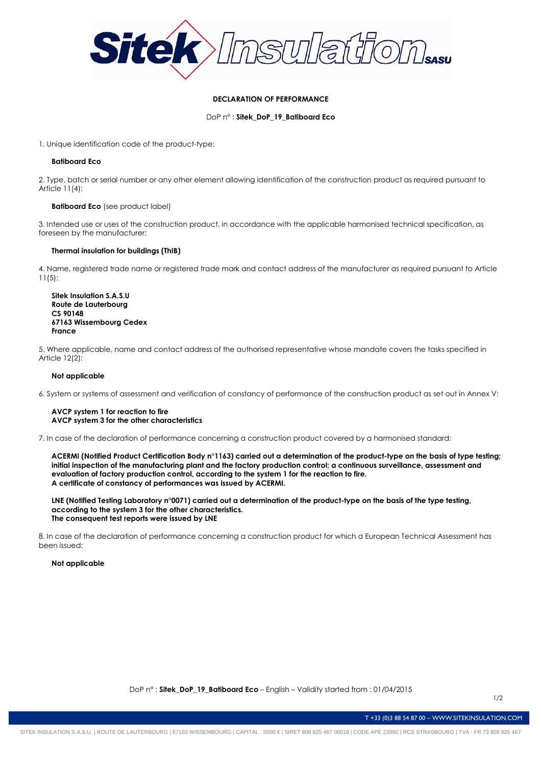

# **DECLARATION OF PERFORMANCE**

DoP n° : **Sitek\_DoP\_19\_Batiboard Eco**

1. Unique identification code of the product-type:

### **Batiboard Eco**

2. Type, batch or serial number or any other element allowing identification of the construction product as required pursuant to Article 11(4):

### **Batiboard Eco** (see product label)

3. Intended use or uses of the construction product, in accordance with the applicable harmonised technical specification, as foreseen by the manufacturer:

### **Thermal insulation for buildings (ThIB)**

4. Name, registered trade name or registered trade mark and contact address of the manufacturer as required pursuant to Article 11(5):

**Sitek Insulation S.A.S.U Route de Lauterbourg CS 90148 67163 Wissembourg Cedex France** 

5. Where applicable, name and contact address of the authorised representative whose mandate covers the tasks specified in Article 12(2):

# **Not applicable**

6. System or systems of assessment and verification of constancy of performance of the construction product as set out in Annex V:

### **AVCP system 1 for reaction to fire AVCP system 3 for the other characteristics**

7. In case of the declaration of performance concerning a construction product covered by a harmonised standard:

**ACERMI (Notified Product Certification Body n°1163) carried out a determination of the product-type on the basis of type testing; initial inspection of the manufacturing plant and the factory production control; a continuous surveillance, assessment and evaluation of factory production control, according to the system 1 for the reaction to fire. A certificate of constancy of performances was issued by ACERMI.** 

**LNE (Notified Testing Laboratory n°0071) carried out a determination of the product-type on the basis of the type testing, according to the system 3 for the other characteristics. The consequent test reports were issued by LNE** 

8. In case of the declaration of performance concerning a construction product for which a European Technical Assessment has been issued:

**Not applicable** 

T +33 (0)3 88 54 87 00 – WWW.SITEKINSULATION.COM